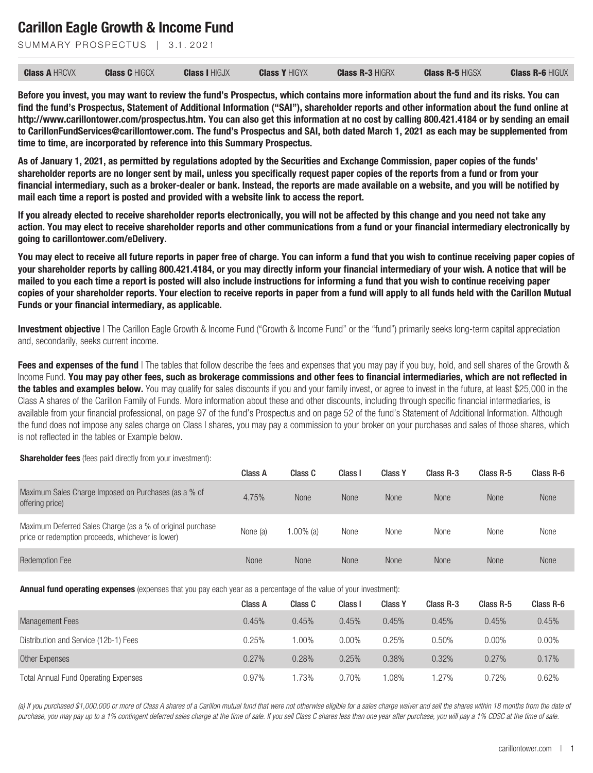SUMMARY PROSPECTUS | 3.1.2021

| <b>Class A HRCVX</b> | <b>Class C HIGCX</b> | <b>Class I HIGJX</b> | <b>Class Y HIGYX</b> | <b>Class R-3 HIGRX</b> | <b>Class R-5 HIGSX</b> | <b>Class R-6 HIGUX</b> |
|----------------------|----------------------|----------------------|----------------------|------------------------|------------------------|------------------------|
|----------------------|----------------------|----------------------|----------------------|------------------------|------------------------|------------------------|

**Before you invest, you may want to review the fund's Prospectus, which contains more information about the fund and its risks. You can find the fund's Prospectus, Statement of Additional Information ("SAI"), shareholder reports and other information about the fund online at http://www.carillontower.com/prospectus.htm. You can also get this information at no cost by calling 800.421.4184 or by sending an email to CarillonFundServices@carillontower.com. The fund's Prospectus and SAI, both dated March 1, 2021 as each may be supplemented from time to time, are incorporated by reference into this Summary Prospectus.**

**As of January 1, 2021, as permitted by regulations adopted by the Securities and Exchange Commission, paper copies of the funds' shareholder reports are no longer sent by mail, unless you specifically request paper copies of the reports from a fund or from your financial intermediary, such as a broker-dealer or bank. Instead, the reports are made available on a website, and you will be notified by mail each time a report is posted and provided with a website link to access the report.**

**If you already elected to receive shareholder reports electronically, you will not be affected by this change and you need not take any action. You may elect to receive shareholder reports and other communications from a fund or your financial intermediary electronically by going to carillontower.com/eDelivery.**

**You may elect to receive all future reports in paper free of charge. You can inform a fund that you wish to continue receiving paper copies of your shareholder reports by calling 800.421.4184, or you may directly inform your financial intermediary of your wish. A notice that will be mailed to you each time a report is posted will also include instructions for informing a fund that you wish to continue receiving paper copies of your shareholder reports. Your election to receive reports in paper from a fund will apply to all funds held with the Carillon Mutual Funds or your financial intermediary, as applicable.**

**Investment objective** | The Carillon Eagle Growth & Income Fund ("Growth & Income Fund" or the "fund") primarily seeks long-term capital appreciation and, secondarily, seeks current income.

**Fees and expenses of the fund** | The tables that follow describe the fees and expenses that you may pay if you buy, hold, and sell shares of the Growth & Income Fund. **You may pay other fees, such as brokerage commissions and other fees to financial intermediaries, which are not reflected in the tables and examples below.** You may qualify for sales discounts if you and your family invest, or agree to invest in the future, at least \$25,000 in the Class A shares of the Carillon Family of Funds. More information about these and other discounts, including through specific financial intermediaries, is available from your financial professional, on page 97 of the fund's Prospectus and on page 52 of the fund's Statement of Additional Information. Although the fund does not impose any sales charge on Class I shares, you may pay a commission to your broker on your purchases and sales of those shares, which is not reflected in the tables or Example below.

**Shareholder fees** (fees paid directly from your investment):

|                                                                                                                 | Class A     | Class C   | Class I     | <b>Class Y</b> | Class R-3   | Class R-5   | Class R-6 |
|-----------------------------------------------------------------------------------------------------------------|-------------|-----------|-------------|----------------|-------------|-------------|-----------|
| Maximum Sales Charge Imposed on Purchases (as a % of<br>offering price)                                         | 4.75%       | None      | <b>None</b> | <b>None</b>    | <b>None</b> | <b>None</b> | None      |
| Maximum Deferred Sales Charge (as a % of original purchase<br>price or redemption proceeds, whichever is lower) | None (a)    | 1.00% (a) | None        | None           | None        | None        | None      |
| <b>Redemption Fee</b>                                                                                           | <b>None</b> | None      | <b>None</b> | <b>None</b>    | <b>None</b> | <b>None</b> | None      |

**Annual fund operating expenses** (expenses that you pay each year as a percentage of the value of your investment):

|                                             | Class A | Class C | Class I  | <b>Class Y</b> | Class R-3 | Class R-5 | Class R-6 |
|---------------------------------------------|---------|---------|----------|----------------|-----------|-----------|-----------|
| Management Fees                             | 0.45%   | 0.45%   | 0.45%    | 0.45%          | 0.45%     | 0.45%     | 0.45%     |
| Distribution and Service (12b-1) Fees       | 0.25%   | 1.00%   | $0.00\%$ | 0.25%          | 0.50%     | $0.00\%$  | $0.00\%$  |
| Other Expenses                              | 0.27%   | 0.28%   | 0.25%    | 0.38%          | 0.32%     | 0.27%     | 0.17%     |
| <b>Total Annual Fund Operating Expenses</b> | 0.97%   | 1.73%   | 0.70%    | .08%           | 1.27%     | 0.72%     | 0.62%     |

*(a) If you purchased \$1,000,000 or more of Class A shares of a Carillon mutual fund that were not otherwise eligible for a sales charge waiver and sell the shares within 18 months from the date of purchase, you may pay up to a 1% contingent deferred sales charge at the time of sale. If you sell Class C shares less than one year after purchase, you will pay a 1% CDSC at the time of sale.*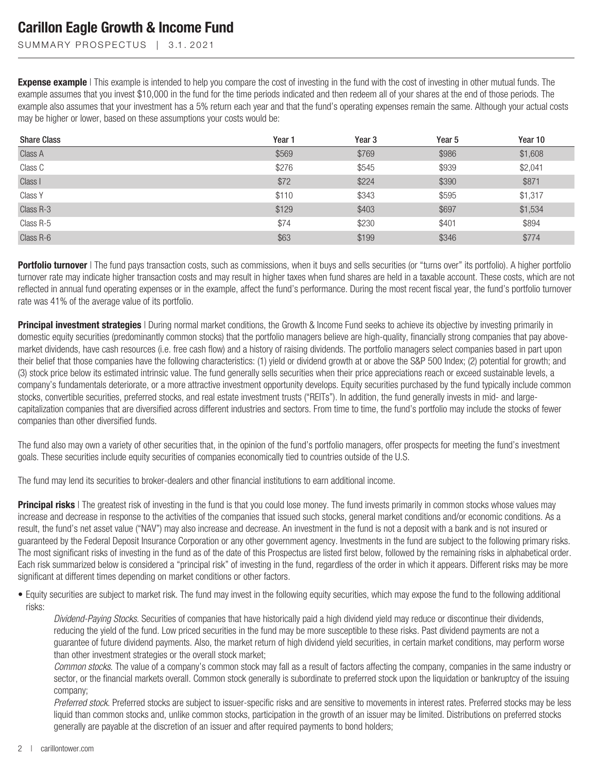SUMMARY PROSPECTUS | 3.1.2021

**Expense example** | This example is intended to help you compare the cost of investing in the fund with the cost of investing in other mutual funds. The example assumes that you invest \$10,000 in the fund for the time periods indicated and then redeem all of your shares at the end of those periods. The example also assumes that your investment has a 5% return each year and that the fund's operating expenses remain the same. Although your actual costs may be higher or lower, based on these assumptions your costs would be:

| <b>Share Class</b> | Year 1 | Year <sub>3</sub> | Year 5 | Year 10 |
|--------------------|--------|-------------------|--------|---------|
| Class A            | \$569  | \$769             | \$986  | \$1,608 |
| Class C            | \$276  | \$545             | \$939  | \$2,041 |
| Class I            | \$72   | \$224             | \$390  | \$871   |
| Class Y            | \$110  | \$343             | \$595  | \$1,317 |
| Class R-3          | \$129  | \$403             | \$697  | \$1,534 |
| Class R-5          | \$74   | \$230             | \$401  | \$894   |
| Class R-6          | \$63   | \$199             | \$346  | \$774   |

Portfolio turnover I The fund pays transaction costs, such as commissions, when it buys and sells securities (or "turns over" its portfolio). A higher portfolio turnover rate may indicate higher transaction costs and may result in higher taxes when fund shares are held in a taxable account. These costs, which are not reflected in annual fund operating expenses or in the example, affect the fund's performance. During the most recent fiscal year, the fund's portfolio turnover rate was 41% of the average value of its portfolio.

**Principal investment strategies** I During normal market conditions, the Growth & Income Fund seeks to achieve its objective by investing primarily in domestic equity securities (predominantly common stocks) that the portfolio managers believe are high-quality, financially strong companies that pay abovemarket dividends, have cash resources (i.e. free cash flow) and a history of raising dividends. The portfolio managers select companies based in part upon their belief that those companies have the following characteristics: (1) yield or dividend growth at or above the S&P 500 Index; (2) potential for growth; and (3) stock price below its estimated intrinsic value. The fund generally sells securities when their price appreciations reach or exceed sustainable levels, a company's fundamentals deteriorate, or a more attractive investment opportunity develops. Equity securities purchased by the fund typically include common stocks, convertible securities, preferred stocks, and real estate investment trusts ("REITs"). In addition, the fund generally invests in mid- and largecapitalization companies that are diversified across different industries and sectors. From time to time, the fund's portfolio may include the stocks of fewer companies than other diversified funds.

The fund also may own a variety of other securities that, in the opinion of the fund's portfolio managers, offer prospects for meeting the fund's investment goals. These securities include equity securities of companies economically tied to countries outside of the U.S.

The fund may lend its securities to broker-dealers and other financial institutions to earn additional income.

**Principal risks** | The greatest risk of investing in the fund is that you could lose money. The fund invests primarily in common stocks whose values may increase and decrease in response to the activities of the companies that issued such stocks, general market conditions and/or economic conditions. As a result, the fund's net asset value ("NAV") may also increase and decrease. An investment in the fund is not a deposit with a bank and is not insured or guaranteed by the Federal Deposit Insurance Corporation or any other government agency. Investments in the fund are subject to the following primary risks. The most significant risks of investing in the fund as of the date of this Prospectus are listed first below, followed by the remaining risks in alphabetical order. Each risk summarized below is considered a "principal risk" of investing in the fund, regardless of the order in which it appears. Different risks may be more significant at different times depending on market conditions or other factors.

• Equity securities are subject to market risk. The fund may invest in the following equity securities, which may expose the fund to the following additional risks:

*Dividend-Paying Stocks*. Securities of companies that have historically paid a high dividend yield may reduce or discontinue their dividends, reducing the yield of the fund. Low priced securities in the fund may be more susceptible to these risks. Past dividend payments are not a guarantee of future dividend payments. Also, the market return of high dividend yield securities, in certain market conditions, may perform worse than other investment strategies or the overall stock market;

*Common stocks*. The value of a company's common stock may fall as a result of factors affecting the company, companies in the same industry or sector, or the financial markets overall. Common stock generally is subordinate to preferred stock upon the liquidation or bankruptcy of the issuing company;

*Preferred stock*. Preferred stocks are subject to issuer-specific risks and are sensitive to movements in interest rates. Preferred stocks may be less liquid than common stocks and, unlike common stocks, participation in the growth of an issuer may be limited. Distributions on preferred stocks generally are payable at the discretion of an issuer and after required payments to bond holders;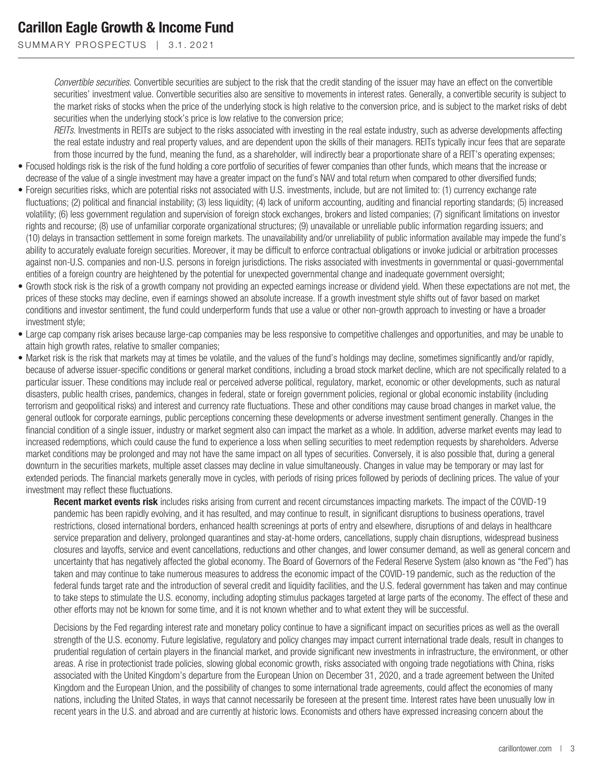SUMMARY PROSPECTUS | 3.1.2021

*Convertible securities*. Convertible securities are subject to the risk that the credit standing of the issuer may have an effect on the convertible securities' investment value. Convertible securities also are sensitive to movements in interest rates. Generally, a convertible security is subject to the market risks of stocks when the price of the underlying stock is high relative to the conversion price, and is subject to the market risks of debt securities when the underlying stock's price is low relative to the conversion price;

*REITs*. Investments in REITs are subject to the risks associated with investing in the real estate industry, such as adverse developments affecting the real estate industry and real property values, and are dependent upon the skills of their managers. REITs typically incur fees that are separate from those incurred by the fund, meaning the fund, as a shareholder, will indirectly bear a proportionate share of a REIT's operating expenses;

- Focused holdings risk is the risk of the fund holding a core portfolio of securities of fewer companies than other funds, which means that the increase or decrease of the value of a single investment may have a greater impact on the fund's NAV and total return when compared to other diversified funds;
- Foreign securities risks, which are potential risks not associated with U.S. investments, include, but are not limited to: (1) currency exchange rate fluctuations; (2) political and financial instability; (3) less liquidity; (4) lack of uniform accounting, auditing and financial reporting standards; (5) increased volatility; (6) less government regulation and supervision of foreign stock exchanges, brokers and listed companies; (7) significant limitations on investor rights and recourse; (8) use of unfamiliar corporate organizational structures; (9) unavailable or unreliable public information regarding issuers; and (10) delays in transaction settlement in some foreign markets. The unavailability and/or unreliability of public information available may impede the fund's ability to accurately evaluate foreign securities. Moreover, it may be difficult to enforce contractual obligations or invoke judicial or arbitration processes against non-U.S. companies and non-U.S. persons in foreign jurisdictions. The risks associated with investments in governmental or quasi-governmental entities of a foreign country are heightened by the potential for unexpected governmental change and inadequate government oversight;
- Growth stock risk is the risk of a growth company not providing an expected earnings increase or dividend yield. When these expectations are not met, the prices of these stocks may decline, even if earnings showed an absolute increase. If a growth investment style shifts out of favor based on market conditions and investor sentiment, the fund could underperform funds that use a value or other non-growth approach to investing or have a broader investment style;
- Large cap company risk arises because large-cap companies may be less responsive to competitive challenges and opportunities, and may be unable to attain high growth rates, relative to smaller companies;
- Market risk is the risk that markets may at times be volatile, and the values of the fund's holdings may decline, sometimes significantly and/or rapidly, because of adverse issuer-specific conditions or general market conditions, including a broad stock market decline, which are not specifically related to a particular issuer. These conditions may include real or perceived adverse political, regulatory, market, economic or other developments, such as natural disasters, public health crises, pandemics, changes in federal, state or foreign government policies, regional or global economic instability (including terrorism and geopolitical risks) and interest and currency rate fluctuations. These and other conditions may cause broad changes in market value, the general outlook for corporate earnings, public perceptions concerning these developments or adverse investment sentiment generally. Changes in the financial condition of a single issuer, industry or market segment also can impact the market as a whole. In addition, adverse market events may lead to increased redemptions, which could cause the fund to experience a loss when selling securities to meet redemption requests by shareholders. Adverse market conditions may be prolonged and may not have the same impact on all types of securities. Conversely, it is also possible that, during a general downturn in the securities markets, multiple asset classes may decline in value simultaneously. Changes in value may be temporary or may last for extended periods. The financial markets generally move in cycles, with periods of rising prices followed by periods of declining prices. The value of your investment may reflect these fluctuations.

**Recent market events risk** includes risks arising from current and recent circumstances impacting markets. The impact of the COVID-19 pandemic has been rapidly evolving, and it has resulted, and may continue to result, in significant disruptions to business operations, travel restrictions, closed international borders, enhanced health screenings at ports of entry and elsewhere, disruptions of and delays in healthcare service preparation and delivery, prolonged quarantines and stay-at-home orders, cancellations, supply chain disruptions, widespread business closures and layoffs, service and event cancellations, reductions and other changes, and lower consumer demand, as well as general concern and uncertainty that has negatively affected the global economy. The Board of Governors of the Federal Reserve System (also known as "the Fed") has taken and may continue to take numerous measures to address the economic impact of the COVID-19 pandemic, such as the reduction of the federal funds target rate and the introduction of several credit and liquidity facilities, and the U.S. federal government has taken and may continue to take steps to stimulate the U.S. economy, including adopting stimulus packages targeted at large parts of the economy. The effect of these and other efforts may not be known for some time, and it is not known whether and to what extent they will be successful.

Decisions by the Fed regarding interest rate and monetary policy continue to have a significant impact on securities prices as well as the overall strength of the U.S. economy. Future legislative, regulatory and policy changes may impact current international trade deals, result in changes to prudential regulation of certain players in the financial market, and provide significant new investments in infrastructure, the environment, or other areas. A rise in protectionist trade policies, slowing global economic growth, risks associated with ongoing trade negotiations with China, risks associated with the United Kingdom's departure from the European Union on December 31, 2020, and a trade agreement between the United Kingdom and the European Union, and the possibility of changes to some international trade agreements, could affect the economies of many nations, including the United States, in ways that cannot necessarily be foreseen at the present time. Interest rates have been unusually low in recent years in the U.S. and abroad and are currently at historic lows. Economists and others have expressed increasing concern about the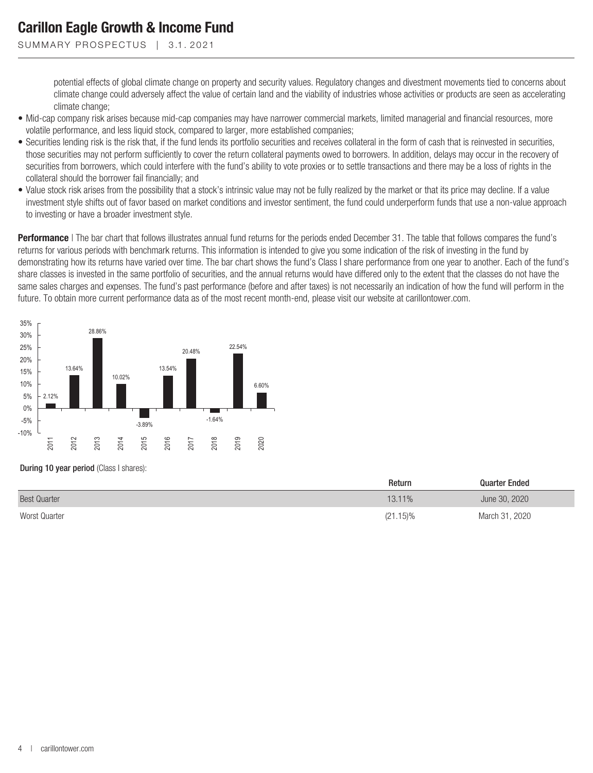SUMMARY PROSPECTUS | 3.1.2021

potential effects of global climate change on property and security values. Regulatory changes and divestment movements tied to concerns about climate change could adversely affect the value of certain land and the viability of industries whose activities or products are seen as accelerating climate change;

- Mid-cap company risk arises because mid-cap companies may have narrower commercial markets, limited managerial and financial resources, more volatile performance, and less liquid stock, compared to larger, more established companies;
- Securities lending risk is the risk that, if the fund lends its portfolio securities and receives collateral in the form of cash that is reinvested in securities, those securities may not perform sufficiently to cover the return collateral payments owed to borrowers. In addition, delays may occur in the recovery of securities from borrowers, which could interfere with the fund's ability to vote proxies or to settle transactions and there may be a loss of rights in the collateral should the borrower fail financially; and
- Value stock risk arises from the possibility that a stock's intrinsic value may not be fully realized by the market or that its price may decline. If a value investment style shifts out of favor based on market conditions and investor sentiment, the fund could underperform funds that use a non-value approach to investing or have a broader investment style.

**Performance** | The bar chart that follows illustrates annual fund returns for the periods ended December 31. The table that follows compares the fund's returns for various periods with benchmark returns. This information is intended to give you some indication of the risk of investing in the fund by demonstrating how its returns have varied over time. The bar chart shows the fund's Class I share performance from one year to another. Each of the fund's share classes is invested in the same portfolio of securities, and the annual returns would have differed only to the extent that the classes do not have the same sales charges and expenses. The fund's past performance (before and after taxes) is not necessarily an indication of how the fund will perform in the future. To obtain more current performance data as of the most recent month-end, please visit our website at carillontower.com.



#### During 10 year period (Class I shares):

|                     | Return   | <b>Quarter Ended</b> |
|---------------------|----------|----------------------|
| <b>Best Quarter</b> | 13.11%   | June 30, 2020        |
| Worst Quarter       | (21.15)% | March 31, 2020       |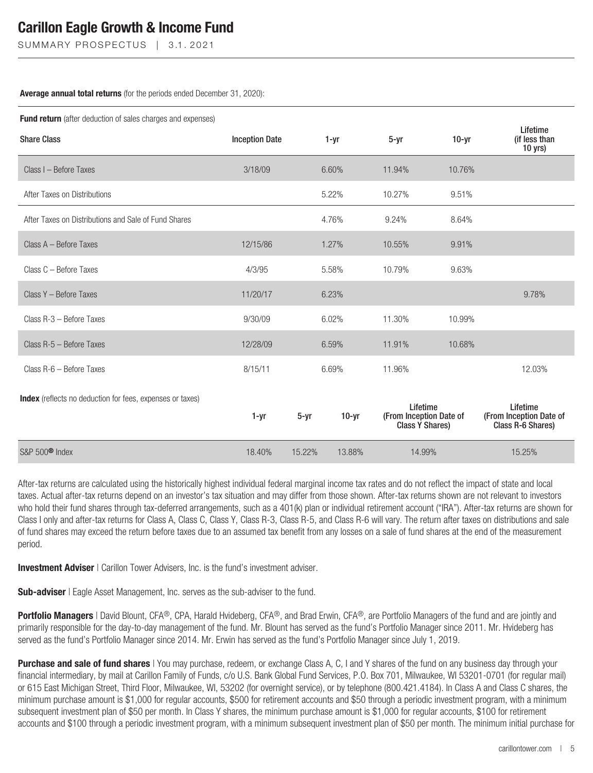SUMMARY PROSPECTUS | 3.1.2021

### **Average annual total returns** (for the periods ended December 31, 2020):

| Fund return (after deduction of sales charges and expenses) |                       |          |          |                                                        |         |                                                          |  |  |
|-------------------------------------------------------------|-----------------------|----------|----------|--------------------------------------------------------|---------|----------------------------------------------------------|--|--|
| <b>Share Class</b>                                          | <b>Inception Date</b> |          | $1 - yr$ | $5 - yr$                                               | $10-yr$ | Lifetime<br>(if less than<br>10 yrs)                     |  |  |
| Class I - Before Taxes                                      | 3/18/09               |          | 6.60%    | 11.94%                                                 | 10.76%  |                                                          |  |  |
| After Taxes on Distributions                                |                       |          | 5.22%    | 10.27%                                                 | 9.51%   |                                                          |  |  |
| After Taxes on Distributions and Sale of Fund Shares        |                       |          | 4.76%    | 9.24%                                                  | 8.64%   |                                                          |  |  |
| Class A - Before Taxes                                      | 12/15/86              |          | 1.27%    | 10.55%                                                 | 9.91%   |                                                          |  |  |
| Class C - Before Taxes                                      | 4/3/95                |          | 5.58%    | 10.79%                                                 | 9.63%   |                                                          |  |  |
| Class Y - Before Taxes                                      | 11/20/17              |          | 6.23%    |                                                        |         | 9.78%                                                    |  |  |
| Class R-3 - Before Taxes                                    | 9/30/09               |          | 6.02%    | 11.30%                                                 | 10.99%  |                                                          |  |  |
| Class R-5 - Before Taxes                                    | 12/28/09              |          | 6.59%    | 11.91%                                                 | 10.68%  |                                                          |  |  |
| Class R-6 - Before Taxes                                    | 8/15/11               |          | 6.69%    | 11.96%                                                 |         | 12.03%                                                   |  |  |
| Index (reflects no deduction for fees, expenses or taxes)   | 1-yr                  | $5 - yr$ | $10-yr$  | Lifetime<br>(From Inception Date of<br>Class Y Shares) |         | Lifetime<br>(From Inception Date of<br>Class R-6 Shares) |  |  |
| S&P 500 <sup>®</sup> Index                                  | 18.40%                | 15.22%   | 13.88%   | 14.99%                                                 |         | 15.25%                                                   |  |  |

After-tax returns are calculated using the historically highest individual federal marginal income tax rates and do not reflect the impact of state and local taxes. Actual after-tax returns depend on an investor's tax situation and may differ from those shown. After-tax returns shown are not relevant to investors who hold their fund shares through tax-deferred arrangements, such as a 401(k) plan or individual retirement account ("IRA"). After-tax returns are shown for Class I only and after-tax returns for Class A, Class C, Class Y, Class R-3, Class R-5, and Class R-6 will vary. The return after taxes on distributions and sale of fund shares may exceed the return before taxes due to an assumed tax benefit from any losses on a sale of fund shares at the end of the measurement period.

**Investment Adviser** | Carillon Tower Advisers, Inc. is the fund's investment adviser.

**Sub-adviser** | Eagle Asset Management, Inc. serves as the sub-adviser to the fund.

**Portfolio Managers** | David Blount, CFA®, CPA, Harald Hvideberg, CFA®, and Brad Erwin, CFA®, are Portfolio Managers of the fund and are jointly and primarily responsible for the day-to-day management of the fund. Mr. Blount has served as the fund's Portfolio Manager since 2011. Mr. Hvideberg has served as the fund's Portfolio Manager since 2014. Mr. Erwin has served as the fund's Portfolio Manager since July 1, 2019.

**Purchase and sale of fund shares** | You may purchase, redeem, or exchange Class A, C, I and Y shares of the fund on any business day through your financial intermediary, by mail at Carillon Family of Funds, c/o U.S. Bank Global Fund Services, P.O. Box 701, Milwaukee, WI 53201-0701 (for regular mail) or 615 East Michigan Street, Third Floor, Milwaukee, WI, 53202 (for overnight service), or by telephone (800.421.4184). In Class A and Class C shares, the minimum purchase amount is \$1,000 for regular accounts, \$500 for retirement accounts and \$50 through a periodic investment program, with a minimum subsequent investment plan of \$50 per month. In Class Y shares, the minimum purchase amount is \$1,000 for regular accounts, \$100 for retirement accounts and \$100 through a periodic investment program, with a minimum subsequent investment plan of \$50 per month. The minimum initial purchase for